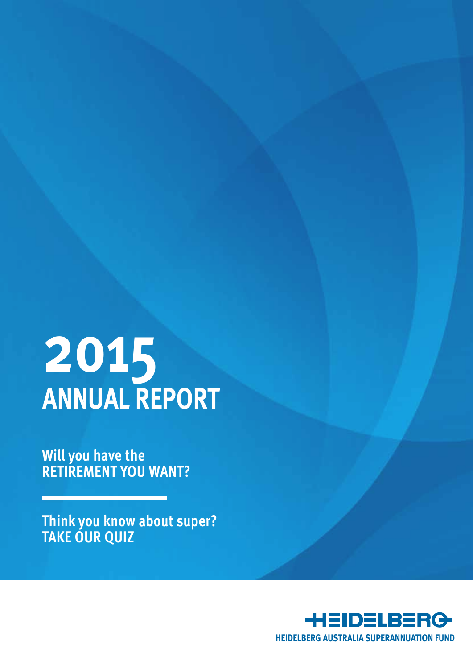# **2015 Annual Report**

**Will you have the RETIREMENT YOU WANT?**

**Think you know about super? TAKE OUR QUIZ**

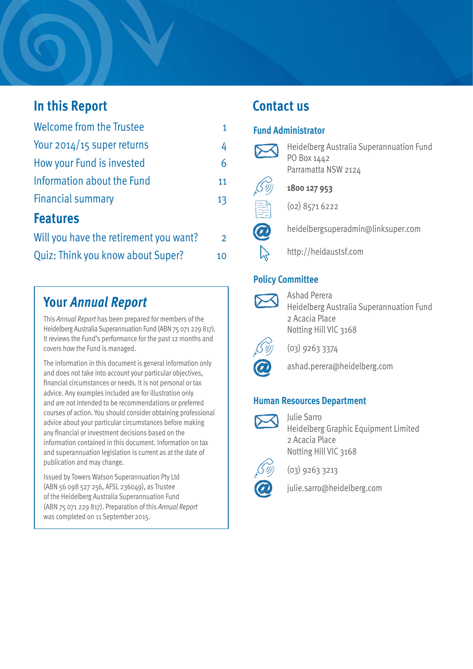## **In this Report**

| <b>Welcome from the Trustee</b>        | 1              |
|----------------------------------------|----------------|
| Your $2014/15$ super returns           | 4              |
| How your Fund is invested              | 6              |
| Information about the Fund             | 11             |
| <b>Financial summary</b>               | 13             |
| <b>Features</b>                        |                |
| Will you have the retirement you want? | $\overline{2}$ |
| Quiz: Think you know about Super?      | 10             |

## **Your** *Annual Report*

This *Annual Report* has been prepared for members of the Heidelberg Australia Superannuation Fund (ABN 75 071 229 817). It reviews the Fund's performance for the past 12 months and covers how the Fund is managed.

The information in this document is general information only and does not take into account your particular objectives, financial circumstances or needs. It is not personal or tax advice. Any examples included are for illustration only and are not intended to be recommendations or preferred courses of action. You should consider obtaining professional advice about your particular circumstances before making any financial or investment decisions based on the information contained in this document. Information on tax and superannuation legislation is current as at the date of publication and may change.

Issued by Towers Watson Superannuation Pty Ltd (ABN 56 098 527 256, AFSL 236049), as Trustee of the Heidelberg Australia Superannuation Fund (ABN 75 071 229 817). Preparation of this *Annual Report*  was completed on 11 September 2015.

## **Contact us**

#### **Fund Administrator**



Heidelberg Australia Superannuation Fund PO Box 1442 Parramatta NSW 2124



**1800 127 953**



(02) 8571 6222

- heidelbergsuperadmin@linksuper.com
- http://heidaustsf.com

### **Policy Committee**



Ashad Perera Heidelberg Australia Superannuation Fund 2 Acacia Place Notting Hill VIC 3168



(03) 9263 3374



ashad.perera@heidelberg.com

#### **Human Resources Department**



Julie Sarro Heidelberg Graphic Equipment Limited 2 Acacia Place Notting Hill VIC 3168



(03) 9263 3213





julie.sarro@heidelberg.com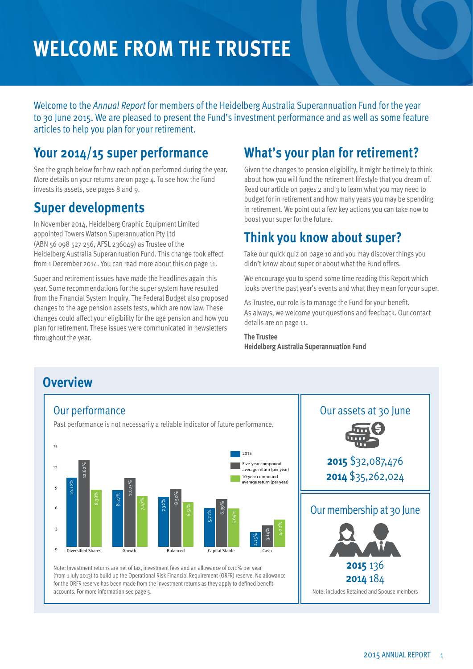## **Welcome From the Trustee**

Welcome to the *Annual Report* for members of the Heidelberg Australia Superannuation Fund for the year to 30 June 2015. We are pleased to present the Fund's investment performance and as well as some feature articles to help you plan for your retirement.

## **Your 2014/15 super performance**

See the graph below for how each option performed during the year. More details on your returns are on page 4. To see how the Fund invests its assets, see pages 8 and 9.

## **Super developments**

In November 2014, Heidelberg Graphic Equipment Limited appointed Towers Watson Superannuation Pty Ltd (ABN 56 098 527 256, AFSL 236049) as Trustee of the Heidelberg Australia Superannuation Fund. This change took effect from 1 December 2014. You can read more about this on page 11.

Super and retirement issues have made the headlines again this year. Some recommendations for the super system have resulted from the Financial System Inquiry. The Federal Budget also proposed changes to the age pension assets tests, which are now law. These changes could affect your eligibility for the age pension and how you plan for retirement. These issues were communicated in newsletters throughout the year.

## **What's your plan for retirement?**

Given the changes to pension eligibility, it might be timely to think about how you will fund the retirement lifestyle that you dream of. Read our article on pages 2 and 3 to learn what you may need to budget for in retirement and how many years you may be spending in retirement. We point out a few key actions you can take now to boost your super for the future.

## **Think you know about super?**

Take our quick quiz on page 10 and you may discover things you didn't know about super or about what the Fund offers.

We encourage you to spend some time reading this Report which looks over the past year's events and what they mean for your super.

As Trustee, our role is to manage the Fund for your benefit. As always, we welcome your questions and feedback. Our contact details are on page 11.

#### **The Trustee Heidelberg Australia Superannuation Fund**

#### **Overview** Our assets at 30 June Our performance Past performance is not necessarily a reliable indicator of future performance. Note: Investment returns are net of tax, investment fees and an allowance of 0.10% per year  $\Omega$ 3 6 9 12 15 10-year compound average return (per year) Five-year compound average return (per year) 2015 on the state of the state of the state of the state of the state of the state of the state of the state of the state of the state of the state of the state of the state of the state of the state of the state capital Stable  $_{\rm s}$ 3.14 %8.38  $\approx$ 8.27  $\rm{^{\circ}}$ 10.03% 7.47  $_{\rm s}$ 7.32%  $8.50%$ 6.51  $_{\rm s}$ 5.71% 6.99  $\%$ 5.64  $_{\rm s}$ 4.02  $\delta$

(from 1 July 2013) to build up the Operational Risk Financial Requirement (ORFR) reserve. No allowance for the ORFR reserve has been made from the investment returns as they apply to defined benefit accounts. For more information see page 5.

Our membership at 30 June **2015** \$32,087,476 **2014** \$35,262,024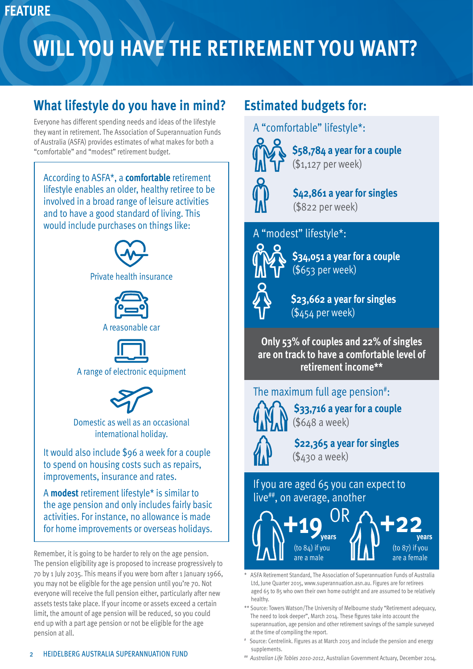## **FEATURE**

## **WILL YOU HAVE THE RETIREMENT YOU WANT?**

## **What lifestyle do you have in mind?**

Everyone has different spending needs and ideas of the lifestyle they want in retirement. The Association of Superannuation Funds of Australia (ASFA) provides estimates of what makes for both a "comfortable" and "modest" retirement budget.

According to ASFA\*, a **comfortable** retirement lifestyle enables an older, healthy retiree to be involved in a broad range of leisure activities and to have a good standard of living. This would include purchases on things like:



Private health insurance





A range of electronic equipment



Domestic as well as an occasional international holiday.

It would also include \$96 a week for a couple to spend on housing costs such as repairs, improvements, insurance and rates.

A **modest** retirement lifestyle\* is similar to the age pension and only includes fairly basic activities. For instance, no allowance is made for home improvements or overseas holidays.

Remember, it is going to be harder to rely on the age pension. The pension eligibility age is proposed to increase progressively to 70 by 1 July 2035. This means if you were born after 1 January 1966, you may not be eligible for the age pension until you're 70. Not everyone will receive the full pension either, particularly after new assets tests take place. If your income or assets exceed a certain limit, the amount of age pension will be reduced, so you could end up with a part age pension or not be eligible for the age pension at all.

A "comfortable" lifestyle\*:



**\$58,784 a year for a couple** (\$1,127 per week)

**\$42,861 a year for singles** (\$822 per week)

A "modest" lifestyle\*:

**Estimated budgets for:**



**\$34,051 a year for a couple** (\$653 per week)



**\$23,662 a year for singles** (\$454 per week)

**Only 53% of couples and 22% of singles are on track to have a comfortable level of retirement income\*\***

The maximum full age pension<sup>#</sup>:



**\$33,716 a year for a couple** (\$648 a week)

 **\$22,365 a year for singles** (\$430 a week)

If you are aged 65 you can expect to live<sup>##</sup>, on average, another



ASFA Retirement Standard, The Association of Superannuation Funds of Australia Ltd, June Quarter 2015, www.superannuation.asn.au. Figures are for retirees aged 65 to 85 who own their own home outright and are assumed to be relatively healthy.

- \*\* Source: Towers Watson/The University of Melbourne study "Retirement adequacy, The need to look deeper", March 2014. These figures take into account the superannuation, age pension and other retirement savings of the sample surveyed at the time of compiling the report.
- # Source: Centrelink. Figures as at March 2015 and include the pension and energy supplements.
- ## *Australian Life Tables 2010-2012*, Australian Government Actuary, December 2014.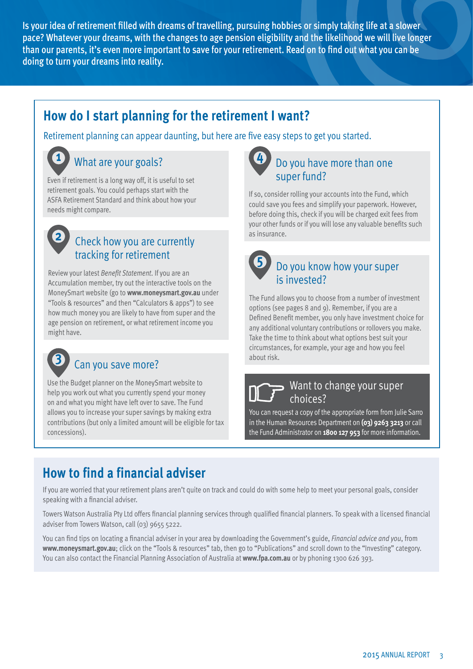Is your idea of retirement filled with dreams of travelling, pursuing hobbies or simply taking life at a slower pace? Whatever your dreams, with the changes to age pension eligibility and the likelihood we will live longer than our parents, it's even more important to save for your retirement. Read on to find out what you can be doing to turn your dreams into reality.

## **How do I start planning for the retirement I want?**

Retirement planning can appear daunting, but here are five easy steps to get you started.

## What are your goals?

Even if retirement is a long way off, it is useful to set retirement goals. You could perhaps start with the ASFA Retirement Standard and think about how your needs might compare.



**1**

### Check how you are currently tracking for retirement

Review your latest *Benefit Statement*. If you are an Accumulation member, try out the interactive tools on the MoneySmart website (go to **www.moneysmart.gov.au** under "Tools & resources" and then "Calculators & apps") to see how much money you are likely to have from super and the age pension on retirement, or what retirement income you might have.



### Can you save more?

Use the Budget planner on the MoneySmart website to help you work out what you currently spend your money on and what you might have left over to save. The Fund allows you to increase your super savings by making extra contributions (but only a limited amount will be eligible for tax concessions).



### Do you have more than one super fund?

If so, consider rolling your accounts into the Fund, which could save you fees and simplify your paperwork. However, before doing this, check if you will be charged exit fees from your other funds or if you will lose any valuable benefits such as insurance.

## Do you know how your super **5**

## is invested?

The Fund allows you to choose from a number of investment options (see pages 8 and 9). Remember, if you are a Defined Benefit member, you only have investment choice for any additional voluntary contributions or rollovers you make. Take the time to think about what options best suit your circumstances, for example, your age and how you feel about risk.

### Want to change your super choices?

You can request a copy of the appropriate form from Julie Sarro in the Human Resources Department on **(03) 9263 3213** or call the Fund Administrator on **1800 127 953** for more information.

## **How to find a financial adviser**

If you are worried that your retirement plans aren't quite on track and could do with some help to meet your personal goals, consider speaking with a financial adviser.

Towers Watson Australia Pty Ltd offers financial planning services through qualified financial planners. To speak with a licensed financial adviser from Towers Watson, call (03) 9655 5222.

You can find tips on locating a financial adviser in your area by downloading the Government's guide, *Financial advice and you*, from **www.moneysmart.gov.au**; click on the "Tools & resources" tab, then go to "Publications" and scroll down to the "Investing" category. You can also contact the Financial Planning Association of Australia at **www.fpa.com.au** or by phoning 1300 626 393.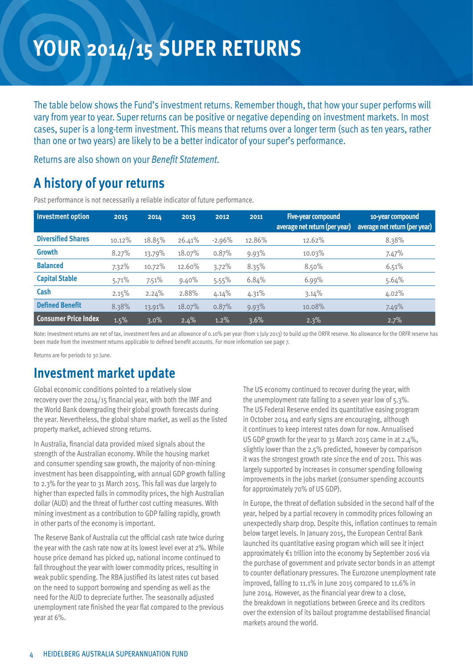## **your 2014/15 super returns**

The table below shows the Fund's investment returns. Remember though, that how your super performs will vary from year to year. Super returns can be positive or negative depending on investment markets. In most cases, super is a long-term investment. This means that returns over a longer term (such as ten years, rather than one or two years) are likely to be a better indicator of your super's performance.

Returns are also shown on your *Benefit Statement*.

## **A history of your returns**

| <b>Investment option</b>    | 2015   | 2014    | 2013   | 2012     | 2011   | Five-year compound<br>average net return (per year) | 10-year compound<br>average net return (per year) |
|-----------------------------|--------|---------|--------|----------|--------|-----------------------------------------------------|---------------------------------------------------|
| <b>Diversified Shares</b>   | 10.12% | 18.85%  | 26.41% | $-2.96%$ | 12.86% | 12.62%                                              | 8.38%                                             |
| <b>Growth</b>               | 8.27%  | 13.79%  | 18.07% | 0.87%    | 9.93%  | 10.03%                                              | 7.47%                                             |
| <b>Balanced</b>             | 7.32%  | 10.72%  | 12.60% | $3.72\%$ | 8.35%  | 8.50%                                               | 6.51%                                             |
| <b>Capital Stable</b>       | 5.71%  | 7.51%   | 9.40%  | 5.55%    | 6.84%  | 6.99%                                               | 5.64%                                             |
| Cash                        | 2.15%  | 2.24%   | 2.88%  | 4.14%    | 4.31%  | 3.14%                                               | 4.02%                                             |
| <b>Defined Benefit</b>      | 8.38%  | 13.91%  | 18.07% | 0.87%    | 9.93%  | 10.08%                                              | 7.49%                                             |
| <b>Consumer Price Index</b> | 1.5%   | $3.0\%$ | 2.4%   | 1.2%     | 3.6%   | 2.3%                                                | 2.7%                                              |

Past performance is not necessarily a reliable indicator of future performance.

Note: Investment returns are net of tax, investment fees and an allowance of 0.10% per year (from 1 July 2013) to build up the ORFR reserve. No allowance for the ORFR reserve has been made from the investment returns applicable to defined benefit accounts. For more information see page 7.

Returns are for periods to 30 June.

### **Investment market update**

Global economic conditions pointed to a relatively slow recovery over the 2014/15 financial year, with both the IMF and the World Bank downgrading their global growth forecasts during the year. Nevertheless, the global share market, as well as the listed property market, achieved strong returns.

In Australia, financial data provided mixed signals about the strength of the Australian economy. While the housing market and consumer spending saw growth, the majority of non-mining investment has been disappointing, with annual GDP growth falling to 2.3% for the year to 31 March 2015. This fall was due largely to higher than expected falls in commodity prices, the high Australian dollar (AUD) and the threat of further cost cutting measures. With mining investment as a contribution to GDP falling rapidly, growth in other parts of the economy is important.

The Reserve Bank of Australia cut the official cash rate twice during the year with the cash rate now at its lowest level ever at 2%. While house price demand has picked up, national income continued to fall throughout the year with lower commodity prices, resulting in weak public spending. The RBA justified its latest rates cut based on the need to support borrowing and spending as well as the need for the AUD to depreciate further. The seasonally adjusted unemployment rate finished the year flat compared to the previous year at 6%.

The US economy continued to recover during the year, with the unemployment rate falling to a seven year low of 5.3%. The US Federal Reserve ended its quantitative easing program in October 2014 and early signs are encouraging, although it continues to keep interest rates down for now. Annualised US GDP growth for the year to 31 March 2015 came in at 2.4%, slightly lower than the 2.5% predicted, however by comparison it was the strongest growth rate since the end of 2011. This was largely supported by increases in consumer spending following improvements in the jobs market (consumer spending accounts for approximately 70% of US GDP).

In Europe, the threat of deflation subsided in the second half of the year, helped by a partial recovery in commodity prices following an unexpectedly sharp drop. Despite this, inflation continues to remain below target levels. In January 2015, the European Central Bank launched its quantitative easing program which will see it inject approximately €1 trillion into the economy by September 2016 via the purchase of government and private sector bonds in an attempt to counter deflationary pressures. The Eurozone unemployment rate improved, falling to 11.1% in June 2015 compared to 11.6% in June 2014. However, as the financial year drew to a close, the breakdown in negotiations between Greece and its creditors over the extension of its bailout programme destabilised financial markets around the world.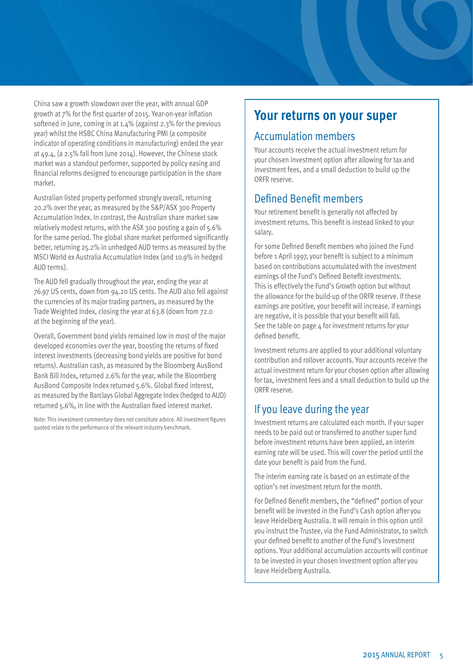China saw a growth slowdown over the year, with annual GDP growth at 7% for the first quarter of 2015. Year-on-year inflation softened in June, coming in at 1.4% (against 2.3% for the previous year) whilst the HSBC China Manufacturing PMI (a composite indicator of operating conditions in manufacturing) ended the year at 49.4, (a 2.5% fall from June 2014). However, the Chinese stock market was a standout performer, supported by policy easing and financial reforms designed to encourage participation in the share market.

Australian listed property performed strongly overall, returning 20.2% over the year, as measured by the S&P/ASX 300 Property Accumulation Index. In contrast, the Australian share market saw relatively modest returns, with the ASX 300 posting a gain of 5.6% for the same period. The global share market performed significantly better, returning 25.2% in unhedged AUD terms as measured by the MSCI World ex Australia Accumulation Index (and 10.9% in hedged AUD terms).

The AUD fell gradually throughout the year, ending the year at 76.97 US cents, down from 94.20 US cents. The AUD also fell against the currencies of its major trading partners, as measured by the Trade Weighted Index, closing the year at 63.8 (down from 72.0 at the beginning of the year).

Overall, Government bond yields remained low in most of the major developed economies over the year, boosting the returns of fixed interest investments (decreasing bond yields are positive for bond returns). Australian cash, as measured by the Bloomberg AusBond Bank Bill Index, returned 2.6% for the year, while the Bloomberg AusBond Composite Index returned 5.6%. Global fixed interest, as measured by the Barclays Global Aggregate Index (hedged to AUD) returned 5.6%, in line with the Australian fixed interest market.

Note: This investment commentary does not constitute advice. All investment figures quoted relate to the performance of the relevant industry benchmark.

## **Your returns on your super**

#### Accumulation members

Your accounts receive the actual investment return for your chosen investment option after allowing for tax and investment fees, and a small deduction to build up the ORFR reserve.

### Defined Benefit members

Your retirement benefit is generally not affected by investment returns. This benefit is instead linked to your salary.

For some Defined Benefit members who joined the Fund before 1 April 1997, your benefit is subject to a minimum based on contributions accumulated with the investment earnings of the Fund's Defined Benefit investments. This is effectively the Fund's Growth option but without the allowance for the build-up of the ORFR reserve. If these earnings are positive, your benefit will increase. If earnings are negative, it is possible that your benefit will fall. See the table on page  $4$  for investment returns for your defined benefit.

Investment returns are applied to your additional voluntary contribution and rollover accounts. Your accounts receive the actual investment return for your chosen option after allowing for tax, investment fees and a small deduction to build up the ORFR reserve.

### If you leave during the year

Investment returns are calculated each month. If your super needs to be paid out or transferred to another super fund before investment returns have been applied, an interim earning rate will be used. This will cover the period until the date your benefit is paid from the Fund.

The interim earning rate is based on an estimate of the option's net investment return for the month.

For Defined Benefit members, the "defined" portion of your benefit will be invested in the Fund's Cash option after you leave Heidelberg Australia. It will remain in this option until you instruct the Trustee, via the Fund Administrator, to switch your defined benefit to another of the Fund's investment options. Your additional accumulation accounts will continue to be invested in your chosen investment option after you leave Heidelberg Australia.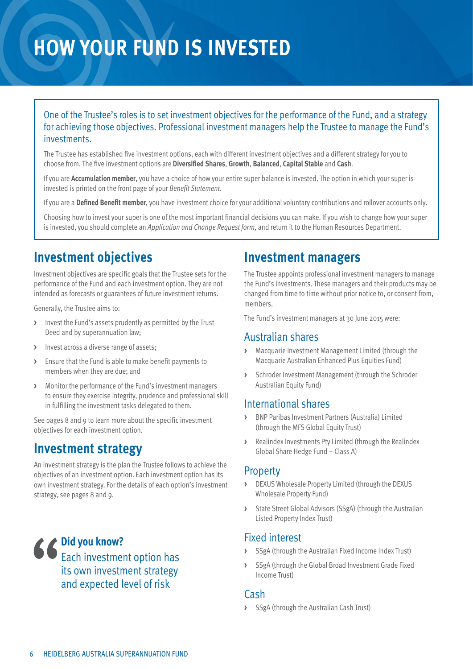## **How your Fund is invested**

#### One of the Trustee's roles is to set investment objectives for the performance of the Fund, and a strategy for achieving those objectives. Professional investment managers help the Trustee to manage the Fund's investments.

The Trustee has established five investment options, each with different investment objectives and a different strategy for you to choose from. The five investment options are **Diversified Shares**, **Growth**, **Balanced**, **Capital Stable** and **Cash**.

If you are **Accumulation member**, you have a choice of how your entire super balance is invested. The option in which your super is invested is printed on the front page of your *Benefit Statement*.

If you are a **Defined Benefit member**, you have investment choice for your additional voluntary contributions and rollover accounts only.

Choosing how to invest your super is one of the most important financial decisions you can make. If you wish to change how your super is invested, you should complete an *Application and Change Request form*, and return it to the Human Resources Department.

## **Investment objectives**

Investment objectives are specific goals that the Trustee sets for the performance of the Fund and each investment option. They are not intended as forecasts or guarantees of future investment returns.

Generally, the Trustee aims to:

- **>** Invest the Fund's assets prudently as permitted by the Trust Deed and by superannuation law;
- **>** Invest across a diverse range of assets;
- **>** Ensure that the Fund is able to make benefit payments to members when they are due; and
- **>** Monitor the performance of the Fund's investment managers to ensure they exercise integrity, prudence and professional skill in fulfilling the investment tasks delegated to them.

See pages 8 and 9 to learn more about the specific investment objectives for each investment option.

## **Investment strategy**

An investment strategy is the plan the Trustee follows to achieve the objectives of an investment option. Each investment option has its own investment strategy. For the details of each option's investment strategy, see pages 8 and 9.

**Did you know?**  Each investment option has its own investment strategy and expected level of risk

### **Investment managers**

The Trustee appoints professional investment managers to manage the Fund's investments. These managers and their products may be changed from time to time without prior notice to, or consent from, members.

The Fund's investment managers at 30 June 2015 were:

#### Australian shares

- **>** Macquarie Investment Management Limited (through the Macquarie Australian Enhanced Plus Equities Fund)
- **>** Schroder Investment Management (through the Schroder Australian Equity Fund)

#### International shares

- **>** BNP Paribas Investment Partners (Australia) Limited (through the MFS Global Equity Trust)
- **>** Realindex Investments Pty Limited (through the Realindex Global Share Hedge Fund – Class A)

#### Property

- **>** DEXUS Wholesale Property Limited (through the DEXUS Wholesale Property Fund)
- **>** State Street Global Advisors (SSgA) (through the Australian Listed Property Index Trust)

#### Fixed interest

- **>** SSgA (through the Australian Fixed Income Index Trust)
- **>** SSgA (through the Global Broad Investment Grade Fixed Income Trust)

#### Cash

**>** SSgA (through the Australian Cash Trust)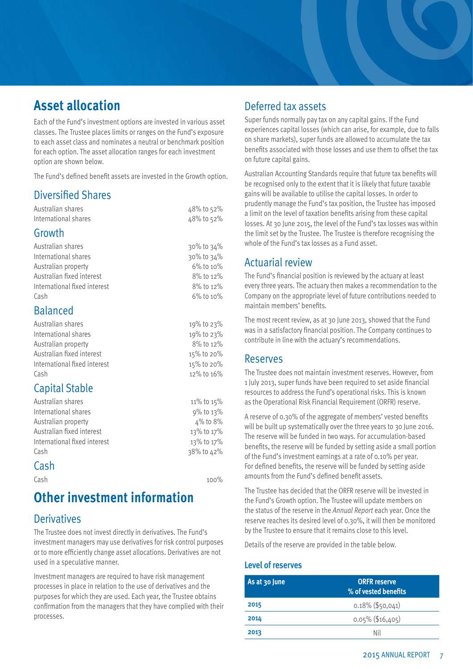## **Asset allocation**

Each of the Fund's investment options are invested in various asset classes. The Trustee places limits or ranges on the Fund's exposure to each asset class and nominates a neutral or benchmark position for each option. The asset allocation ranges for each investment option are shown below.

The Fund's defined benefit assets are invested in the Growth option.

#### Diversified Shares

| Australian shares            | 48% to 52% |
|------------------------------|------------|
| International shares         | 48% to 52% |
| Growth                       |            |
| Australian shares            | 30% to 34% |
| International shares         | 30% to 34% |
| Australian property          | 6% to 10%  |
| Australian fixed interest    | 8% to 12%  |
| International fixed interest | 8% to 12%  |
| Cash                         | 6% to 10%  |
| <b>Balanced</b>              |            |
| Australian shares            | 19% to 23% |
| International shares         | 19% to 23% |
| Australian property          | 8% to 12%  |
| Australian fixed interest    | 15% to 20% |
| International fixed interest | 15% to 20% |
| Cash                         | 12% to 16% |
| <b>Capital Stable</b>        |            |
| Australian shares            | 11% to 15% |
| International shares         | 9% to 13%  |
| Australian property          | 4% to 8%   |
| Australian fixed interest    | 13% to 17% |
| International fixed interest | 13% to 17% |
| Cash                         | 38% to 42% |

#### **Cash**

 $\mathsf{Cash} \quad \mathsf{100\%}$ 

## **Other investment information**

#### **Derivatives**

The Trustee does not invest directly in derivatives. The Fund's investment managers may use derivatives for risk control purposes or to more efficiently change asset allocations. Derivatives are not used in a speculative manner.

Investment managers are required to have risk management processes in place in relation to the use of derivatives and the purposes for which they are used. Each year, the Trustee obtains confirmation from the managers that they have complied with their processes.

#### Deferred tax assets

Super funds normally pay tax on any capital gains. If the Fund experiences capital losses (which can arise, for example, due to falls on share markets), super funds are allowed to accumulate the tax benefits associated with those losses and use them to offset the tax on future capital gains.

Australian Accounting Standards require that future tax benefits will be recognised only to the extent that it is likely that future taxable gains will be available to utilise the capital losses. In order to prudently manage the Fund's tax position, the Trustee has imposed a limit on the level of taxation benefits arising from these capital losses. At 30 June 2015, the level of the Fund's tax losses was within the limit set by the Trustee. The Trustee is therefore recognising the whole of the Fund's tax losses as a Fund asset.

### Actuarial review

The Fund's financial position is reviewed by the actuary at least every three years. The actuary then makes a recommendation to the Company on the appropriate level of future contributions needed to maintain members' benefits.

The most recent review, as at 30 June 2013, showed that the Fund was in a satisfactory financial position. The Company continues to contribute in line with the actuary's recommendations.

#### Reserves

The Trustee does not maintain investment reserves. However, from 1 July 2013, super funds have been required to set aside financial resources to address the Fund's operational risks. This is known as the Operational Risk Financial Requirement (ORFR) reserve.

A reserve of 0.30% of the aggregate of members' vested benefits will be built up systematically over the three years to 30 June 2016. The reserve will be funded in two ways. For accumulation-based benefits, the reserve will be funded by setting aside a small portion of the Fund's investment earnings at a rate of 0.10% per year. For defined benefits, the reserve will be funded by setting aside amounts from the Fund's defined benefit assets.

The Trustee has decided that the ORFR reserve will be invested in the Fund's Growth option. The Trustee will update members on the status of the reserve in the *Annual Report* each year. Once the reserve reaches its desired level of 0.30%, it will then be monitored by the Trustee to ensure that it remains close to this level.

Details of the reserve are provided in the table below.

#### **Level of reserves**

| As at 30 June | <b>ORFR</b> reserve<br>% of vested benefits |
|---------------|---------------------------------------------|
| 2015          | $0.18\%$ (\$50,041)                         |
| 2014          | $0.05\%$ (\$16,405)                         |
| 2013          | Nil                                         |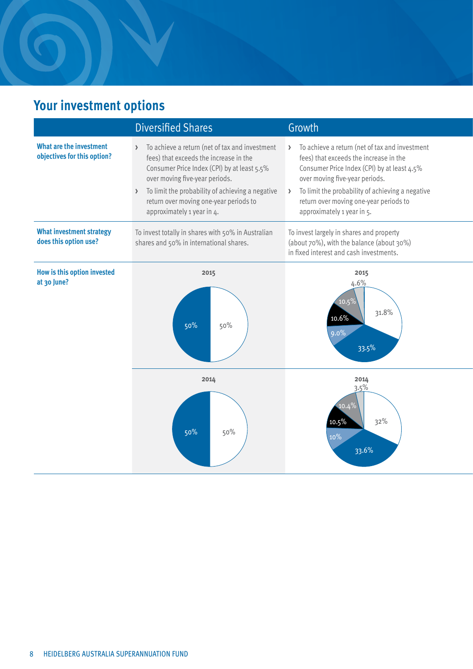## **Your investment options**

|                                                               | <b>Diversified Shares</b>                                                                                                                                                                                                                                                                                 | Growth                                                                                                                                                                                                                                                                                                |
|---------------------------------------------------------------|-----------------------------------------------------------------------------------------------------------------------------------------------------------------------------------------------------------------------------------------------------------------------------------------------------------|-------------------------------------------------------------------------------------------------------------------------------------------------------------------------------------------------------------------------------------------------------------------------------------------------------|
| <b>What are the investment</b><br>objectives for this option? | > To achieve a return (net of tax and investment<br>fees) that exceeds the increase in the<br>Consumer Price Index (CPI) by at least 5.5%<br>over moving five-year periods.<br>> To limit the probability of achieving a negative<br>return over moving one-year periods to<br>approximately 1 year in 4. | To achieve a return (net of tax and investment<br>fees) that exceeds the increase in the<br>Consumer Price Index (CPI) by at least 4.5%<br>over moving five-year periods.<br>To limit the probability of achieving a negative<br>return over moving one-year periods to<br>approximately 1 year in 5. |
| <b>What investment strategy</b><br>does this option use?      | To invest totally in shares with 50% in Australian<br>shares and 50% in international shares.                                                                                                                                                                                                             | To invest largely in shares and property<br>(about 70%), with the balance (about 30%)<br>in fixed interest and cash investments.                                                                                                                                                                      |
| How is this option invested<br>at 30 June?                    | 2015<br>50%<br>50%                                                                                                                                                                                                                                                                                        | 2015<br>4.6%<br>$10.5\%$<br>31.8%<br>10.6%<br>33.5%                                                                                                                                                                                                                                                   |
|                                                               | 2014<br>50%<br>50%                                                                                                                                                                                                                                                                                        | 2014<br>3.5%<br>32%<br>33.6%                                                                                                                                                                                                                                                                          |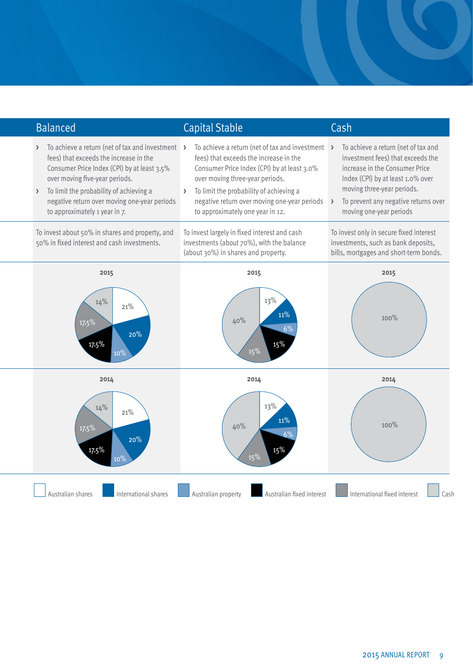| <b>Balanced</b>                                                                                                                                                                                                                                                                                                            | <b>Capital Stable</b>                                                                                                                                                                                                                                                                                                     | Cash                                                                                                                                                                                                                                             |
|----------------------------------------------------------------------------------------------------------------------------------------------------------------------------------------------------------------------------------------------------------------------------------------------------------------------------|---------------------------------------------------------------------------------------------------------------------------------------------------------------------------------------------------------------------------------------------------------------------------------------------------------------------------|--------------------------------------------------------------------------------------------------------------------------------------------------------------------------------------------------------------------------------------------------|
| > To achieve a return (net of tax and investment ><br>fees) that exceeds the increase in the<br>Consumer Price Index (CPI) by at least 3.5%<br>over moving five-year periods.<br>To limit the probability of achieving a<br>$\rightarrow$<br>negative return over moving one-year periods<br>to approximately 1 year in 7. | To achieve a return (net of tax and investment $\rightarrow$<br>fees) that exceeds the increase in the<br>Consumer Price Index (CPI) by at least 3.0%<br>over moving three-year periods.<br>> To limit the probability of achieving a<br>negative return over moving one-year periods<br>to approximately one year in 12. | To achieve a return (net of tax and<br>investment fees) that exceeds the<br>increase in the Consumer Price<br>Index (CPI) by at least 1.0% over<br>moving three-year periods.<br>To prevent any negative returns over<br>moving one-year periods |
| To invest about 50% in shares and property, and<br>50% in fixed interest and cash investments.                                                                                                                                                                                                                             | To invest largely in fixed interest and cash<br>investments (about 70%), with the balance<br>(about 30%) in shares and property.                                                                                                                                                                                          | To invest only in secure fixed interest<br>investments, such as bank deposits,<br>bills, mortgages and short-term bonds.                                                                                                                         |
| 2015<br>14%<br>21%<br>17.5%<br>20%<br>17.5%                                                                                                                                                                                                                                                                                | 2015<br>13%<br>11%<br>40%<br>15%                                                                                                                                                                                                                                                                                          | 2015<br>100%                                                                                                                                                                                                                                     |
| 2014<br>14%<br>21%<br>$17.5\%$<br>20%<br>17.5%                                                                                                                                                                                                                                                                             | 2014<br>13%<br>11%<br>40%                                                                                                                                                                                                                                                                                                 | 2014<br>100%                                                                                                                                                                                                                                     |
| International shares<br>Australian shares                                                                                                                                                                                                                                                                                  | Australian property<br>Australian fixed interest                                                                                                                                                                                                                                                                          | International fixed interest<br>Cash                                                                                                                                                                                                             |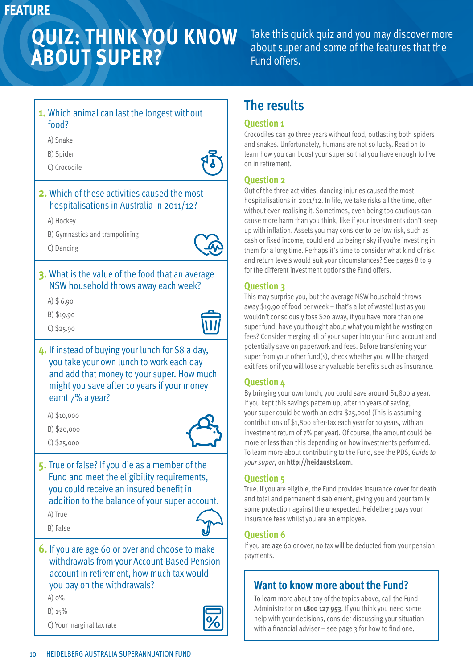## **FEATURE**

## **quiz: think you know about super?**

Take this quick quiz and you may discover more about super and some of the features that the Fund offers.

#### **1.** Which animal can last the longest without food?

A) Snake

B) Spider

C) Crocodile



#### **2.** Which of these activities caused the most hospitalisations in Australia in 2011/12?

A) Hockey

C) Dancing

B) Gymnastics and trampolining



#### **3.** What is the value of the food that an average NSW household throws away each week?

A) \$ 6.90

B) \$19.90

C) \$25.90



**4.** If instead of buying your lunch for \$8 a day, you take your own lunch to work each day and add that money to your super. How much might you save after 10 years if your money earnt 7% a year?

A) \$10,000

B) \$20,000

C) \$25,000

**5.** True or false? If you die as a member of the Fund and meet the eligibility requirements, you could receive an insured benefit in

addition to the balance of your super account.

A) True

B) False



**6.** If you are age 60 or over and choose to make withdrawals from your Account-Based Pension account in retirement, how much tax would you pay on the withdrawals?

A) 0%

B) 15%

C) Your marginal tax rate



## **The results**

#### **Question 1**

Crocodiles can go three years without food, outlasting both spiders and snakes. Unfortunately, humans are not so lucky. Read on to learn how you can boost your super so that you have enough to live on in retirement.

#### **Question 2**

Out of the three activities, dancing injuries caused the most hospitalisations in 2011/12. In life, we take risks all the time, often without even realising it. Sometimes, even being too cautious can cause more harm than you think, like if your investments don't keep up with inflation. Assets you may consider to be low risk, such as cash or fixed income, could end up being risky if you're investing in them for a long time. Perhaps it's time to consider what kind of risk and return levels would suit your circumstances? See pages 8 to 9 for the different investment options the Fund offers.

#### **Question 3**

This may surprise you, but the average NSW household throws away \$19.90 of food per week – that's a lot of waste! Just as you wouldn't consciously toss \$20 away, if you have more than one super fund, have you thought about what you might be wasting on fees? Consider merging all of your super into your Fund account and potentially save on paperwork and fees. Before transferring your super from your other fund(s), check whether you will be charged exit fees or if you will lose any valuable benefits such as insurance.

#### **Question 4**

By bringing your own lunch, you could save around \$1,800 a year. If you kept this savings pattern up, after 10 years of saving, your super could be worth an extra \$25,000! (This is assuming contributions of \$1,800 after-tax each year for 10 years, with an investment return of 7% per year). Of course, the amount could be more or less than this depending on how investments performed. To learn more about contributing to the Fund, see the PDS, *Guide to your super*, on **http://heidaustsf.com**.

#### **Question 5**

True. If you are eligible, the Fund provides insurance cover for death and total and permanent disablement, giving you and your family some protection against the unexpected. Heidelberg pays your insurance fees whilst you are an employee.

#### **Question 6**

If you are age 60 or over, no tax will be deducted from your pension payments.

## **Want to know more about the Fund?**

To learn more about any of the topics above, call the Fund Administrator on **1800 127 953**. If you think you need some help with your decisions, consider discussing your situation with a financial adviser  $-$  see page  $3$  for how to find one.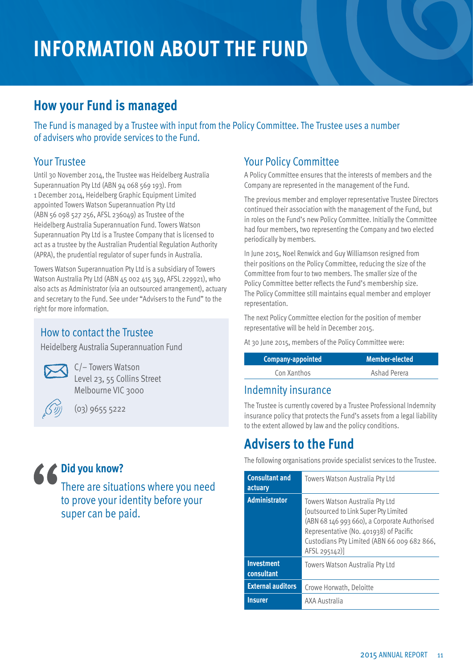## **Information about the Fund**

## **How your Fund is managed**

The Fund is managed by a Trustee with input from the Policy Committee. The Trustee uses a number of advisers who provide services to the Fund.

### Your Trustee

Until 30 November 2014, the Trustee was Heidelberg Australia Superannuation Pty Ltd (ABN 94 068 569 193). From 1 December 2014, Heidelberg Graphic Equipment Limited appointed Towers Watson Superannuation Pty Ltd (ABN 56 098 527 256, AFSL 236049) as Trustee of the Heidelberg Australia Superannuation Fund. Towers Watson Superannuation Pty Ltd is a Trustee Company that is licensed to act as a trustee by the Australian Prudential Regulation Authority (APRA), the prudential regulator of super funds in Australia.

Towers Watson Superannuation Pty Ltd is a subsidiary of Towers Watson Australia Pty Ltd (ABN 45 002 415 349, AFSL 229921), who also acts as Administrator (via an outsourced arrangement), actuary and secretary to the Fund. See under "Advisers to the Fund" to the right for more information.

#### How to contact the Trustee

Heidelberg Australia Superannuation Fund



C/– Towers Watson Level 23, 55 Collins Street Melbourne VIC 3000



(03) 9655 5222

## **Did you know?**

There are situations where you need to prove your identity before your super can be paid.

### Your Policy Committee

A Policy Committee ensures that the interests of members and the Company are represented in the management of the Fund.

The previous member and employer representative Trustee Directors continued their association with the management of the Fund, but in roles on the Fund's new Policy Committee. Initially the Committee had four members, two representing the Company and two elected periodically by members.

In June 2015, Noel Renwick and Guy Williamson resigned from their positions on the Policy Committee, reducing the size of the Committee from four to two members. The smaller size of the Policy Committee better reflects the Fund's membership size. The Policy Committee still maintains equal member and employer representation.

The next Policy Committee election for the position of member representative will be held in December 2015.

At 30 June 2015, members of the Policy Committee were:

| Company-appointed | <b>Member-elected</b> |
|-------------------|-----------------------|
| Con Xanthos       | Ashad Perera          |

#### Indemnity insurance

The Trustee is currently covered by a Trustee Professional Indemnity insurance policy that protects the Fund's assets from a legal liability to the extent allowed by law and the policy conditions.

## **Advisers to the Fund**

The following organisations provide specialist services to the Trustee.

| <b>Consultant and</b><br>actuary | Towers Watson Australia Pty Ltd                                                                                                                                                                                                           |
|----------------------------------|-------------------------------------------------------------------------------------------------------------------------------------------------------------------------------------------------------------------------------------------|
| <b>Administrator</b>             | Towers Watson Australia Pty Ltd<br><b>Joutsourced to Link Super Pty Limited</b><br>(ABN 68 146 993 660), a Corporate Authorised<br>Representative (No. 401938) of Pacific<br>Custodians Pty Limited (ABN 66 009 682 866,<br>AFSL 295142)] |
| <b>Investment</b><br>consultant  | Towers Watson Australia Pty Ltd                                                                                                                                                                                                           |
| <b>External auditors</b>         | Crowe Horwath, Deloitte                                                                                                                                                                                                                   |
| <b>Insurer</b>                   | AXA Australia                                                                                                                                                                                                                             |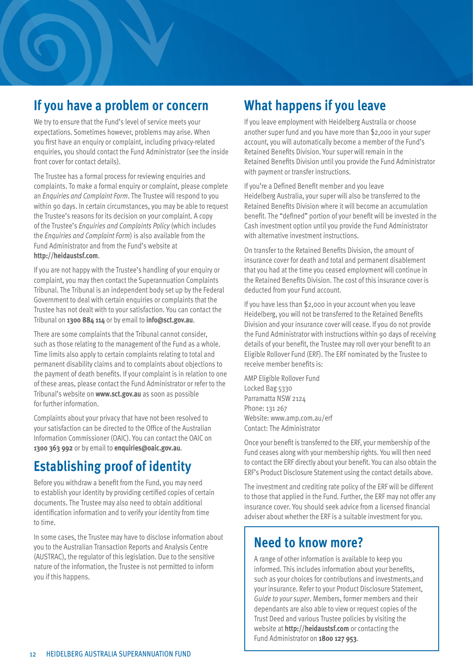## **If you have a problem or concern**

We try to ensure that the Fund's level of service meets your expectations. Sometimes however, problems may arise. When you first have an enquiry or complaint, including privacy-related enquiries, you should contact the Fund Administrator (see the inside front cover for contact details).

The Trustee has a formal process for reviewing enquiries and complaints. To make a formal enquiry or complaint, please complete an *Enquiries and Complaint Form*. The Trustee will respond to you within 90 days. In certain circumstances, you may be able to request the Trustee's reasons for its decision on your complaint. A copy of the Trustee's *Enquiries and Complaints Policy* (which includes the *Enquiries and Complaint Form*) is also available from the Fund Administrator and from the Fund's website at **http://heidaustsf.com**.

If you are not happy with the Trustee's handling of your enquiry or complaint, you may then contact the Superannuation Complaints Tribunal. The Tribunal is an independent body set up by the Federal Government to deal with certain enquiries or complaints that the Trustee has not dealt with to your satisfaction. You can contact the Tribunal on **1300 884 114** or by email to **info@sct.gov.au**.

There are some complaints that the Tribunal cannot consider, such as those relating to the management of the Fund as a whole. Time limits also apply to certain complaints relating to total and permanent disability claims and to complaints about objections to the payment of death benefits. If your complaint is in relation to one of these areas, please contact the Fund Administrator or refer to the Tribunal's website on **www.sct.gov.au** as soon as possible for further information.

Complaints about your privacy that have not been resolved to your satisfaction can be directed to the Office of the Australian Information Commissioner (OAIC). You can contact the OAIC on **1300 363 992** or by email to **enquiries@oaic.gov.au**.

## **Establishing proof of identity**

Before you withdraw a benefit from the Fund, you may need to establish your identity by providing certified copies of certain documents. The Trustee may also need to obtain additional identification information and to verify your identity from time to time.

In some cases, the Trustee may have to disclose information about you to the Australian Transaction Reports and Analysis Centre (AUSTRAC), the regulator of this legislation. Due to the sensitive nature of the information, the Trustee is not permitted to inform you if this happens.

## **What happens if you leave**

If you leave employment with Heidelberg Australia or choose another super fund and you have more than \$2,000 in your super account, you will automatically become a member of the Fund's Retained Benefits Division. Your super will remain in the Retained Benefits Division until you provide the Fund Administrator with payment or transfer instructions.

If you're a Defined Benefit member and you leave Heidelberg Australia, your super will also be transferred to the Retained Benefits Division where it will become an accumulation benefit. The "defined" portion of your benefit will be invested in the Cash investment option until you provide the Fund Administrator with alternative investment instructions.

On transfer to the Retained Benefits Division, the amount of insurance cover for death and total and permanent disablement that you had at the time you ceased employment will continue in the Retained Benefits Division. The cost of this insurance cover is deducted from your Fund account.

If you have less than \$2,000 in your account when you leave Heidelberg, you will not be transferred to the Retained Benefits Division and your insurance cover will cease. If you do not provide the Fund Administrator with instructions within 90 days of receiving details of your benefit, the Trustee may roll over your benefit to an Eligible Rollover Fund (ERF). The ERF nominated by the Trustee to receive member benefits is:

AMP Eligible Rollover Fund Locked Bag 5330 Parramatta NSW 2124 Phone: 131 267 Website: www.amp.com.au/erf Contact: The Administrator

Once your benefit is transferred to the ERF, your membership of the Fund ceases along with your membership rights. You will then need to contact the ERF directly about your benefit. You can also obtain the ERF's Product Disclosure Statement using the contact details above.

The investment and crediting rate policy of the ERF will be different to those that applied in the Fund. Further, the ERF may not offer any insurance cover. You should seek advice from a licensed financial adviser about whether the ERF is a suitable investment for you.

## **Need to know more?**

A range of other information is available to keep you informed. This includes information about your benefits, such as your choices for contributions and investments,and your insurance. Refer to your Product Disclosure Statement, *Guide to your super*. Members, former members and their dependants are also able to view or request copies of the Trust Deed and various Trustee policies by visiting the website at **http://heidaustsf.com** or contacting the Fund Administrator on **1800 127 953**.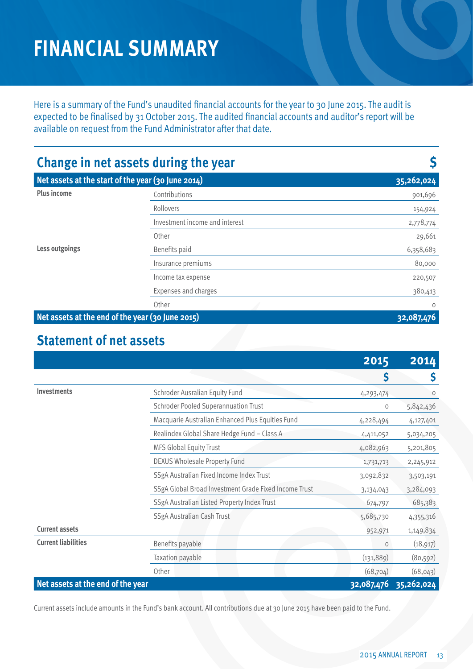## **financial summary**

Here is a summary of the Fund's unaudited financial accounts for the year to 30 June 2015. The audit is expected to be finalised by 31 October 2015. The audited financial accounts and auditor's report will be available on request from the Fund Administrator after that date.

| Change in net assets during the year               |                                |            |
|----------------------------------------------------|--------------------------------|------------|
| Net assets at the start of the year (30 June 2014) |                                | 35,262,024 |
| <b>Plus income</b>                                 | Contributions                  | 901,696    |
|                                                    | Rollovers                      | 154,924    |
|                                                    | Investment income and interest | 2,778,774  |
|                                                    | Other                          | 29,661     |
| Less outgoings                                     | Benefits paid                  | 6,358,683  |
|                                                    | Insurance premiums             | 80,000     |
|                                                    | Income tax expense             | 220,507    |
|                                                    | <b>Expenses and charges</b>    | 380,413    |
|                                                    | Other                          | $\circ$    |
| Net assets at the end of the year (30 June 2015)   | 32,087                         |            |

## **Statement of net assets**

|                                   |                                                       | 2015       | 2014       |
|-----------------------------------|-------------------------------------------------------|------------|------------|
|                                   |                                                       | \$         | S          |
| <b>Investments</b>                | Schroder Ausralian Equity Fund                        | 4,293,474  | $\circ$    |
|                                   | <b>Schroder Pooled Superannuation Trust</b>           | $\circ$    | 5,842,436  |
|                                   | Macquarie Australian Enhanced Plus Equities Fund      | 4,228,494  | 4,127,401  |
|                                   | Realindex Global Share Hedge Fund - Class A           | 4,411,052  | 5,034,205  |
|                                   | <b>MFS Global Equity Trust</b>                        | 4,082,963  | 5,201,805  |
|                                   | <b>DEXUS Wholesale Property Fund</b>                  | 1,731,713  | 2,245,912  |
|                                   | SSgA Australian Fixed Income Index Trust              | 3,092,832  | 3,503,191  |
|                                   | SSgA Global Broad Investment Grade Fixed Income Trust | 3,134,043  | 3,284,093  |
|                                   | SSgA Australian Listed Property Index Trust           | 674,797    | 685,383    |
|                                   | SSgA Australian Cash Trust                            | 5,685,730  | 4,355,316  |
| <b>Current assets</b>             |                                                       | 952,971    | 1,149,834  |
| <b>Current liabilities</b>        | Benefits payable                                      | $\circ$    | (18, 917)  |
|                                   | Taxation payable                                      | (131, 889) | (80, 592)  |
|                                   | Other                                                 | (68, 704)  | (68, 043)  |
| Net assets at the end of the year |                                                       | 32,087,476 | 35,262,024 |

Current assets include amounts in the Fund's bank account. All contributions due at 30 June 2015 have been paid to the Fund.